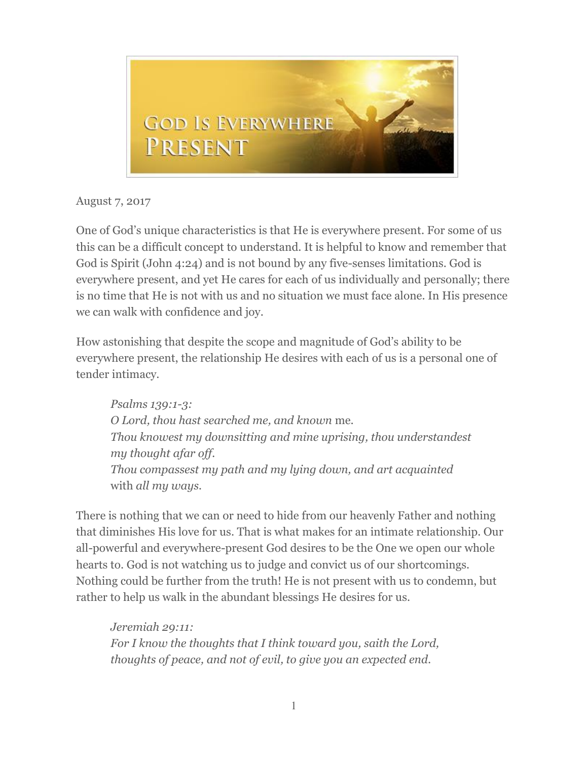

August 7, 2017

One of God's unique characteristics is that He is everywhere present. For some of us this can be a difficult concept to understand. It is helpful to know and remember that God is Spirit (John 4:24) and is not bound by any five-senses limitations. God is everywhere present, and yet He cares for each of us individually and personally; there is no time that He is not with us and no situation we must face alone. In His presence we can walk with confidence and joy.

How astonishing that despite the scope and magnitude of God's ability to be everywhere present, the relationship He desires with each of us is a personal one of tender intimacy.

*Psalms 139:1-3: O Lord, thou hast searched me, and known* me. *Thou knowest my downsitting and mine uprising, thou understandest my thought afar off. Thou compassest my path and my lying down, and art acquainted*  with *all my ways.*

There is nothing that we can or need to hide from our heavenly Father and nothing that diminishes His love for us. That is what makes for an intimate relationship. Our all-powerful and everywhere-present God desires to be the One we open our whole hearts to. God is not watching us to judge and convict us of our shortcomings. Nothing could be further from the truth! He is not present with us to condemn, but rather to help us walk in the abundant blessings He desires for us.

*Jeremiah 29:11: For I know the thoughts that I think toward you, saith the Lord, thoughts of peace, and not of evil, to give you an expected end.*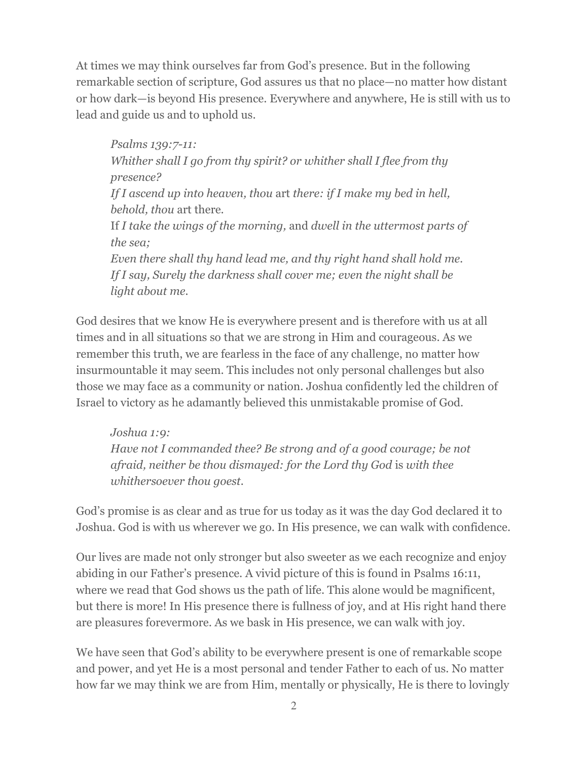At times we may think ourselves far from God's presence. But in the following remarkable section of scripture, God assures us that no place—no matter how distant or how dark—is beyond His presence. Everywhere and anywhere, He is still with us to lead and guide us and to uphold us.

*Psalms 139:7-11: Whither shall I go from thy spirit? or whither shall I flee from thy presence? If I ascend up into heaven, thou* art *there: if I make my bed in hell, behold, thou* art there. If *I take the wings of the morning,* and *dwell in the uttermost parts of the sea; Even there shall thy hand lead me, and thy right hand shall hold me. If I say, Surely the darkness shall cover me; even the night shall be light about me.*

God desires that we know He is everywhere present and is therefore with us at all times and in all situations so that we are strong in Him and courageous. As we remember this truth, we are fearless in the face of any challenge, no matter how insurmountable it may seem. This includes not only personal challenges but also those we may face as a community or nation. Joshua confidently led the children of Israel to victory as he adamantly believed this unmistakable promise of God.

*Joshua 1:9: Have not I commanded thee? Be strong and of a good courage; be not afraid, neither be thou dismayed: for the Lord thy God* is *with thee whithersoever thou goest.*

God's promise is as clear and as true for us today as it was the day God declared it to Joshua. God is with us wherever we go. In His presence, we can walk with confidence.

Our lives are made not only stronger but also sweeter as we each recognize and enjoy abiding in our Father's presence. A vivid picture of this is found in Psalms 16:11, where we read that God shows us the path of life. This alone would be magnificent, but there is more! In His presence there is fullness of joy, and at His right hand there are pleasures forevermore. As we bask in His presence, we can walk with joy.

We have seen that God's ability to be everywhere present is one of remarkable scope and power, and yet He is a most personal and tender Father to each of us. No matter how far we may think we are from Him, mentally or physically, He is there to lovingly